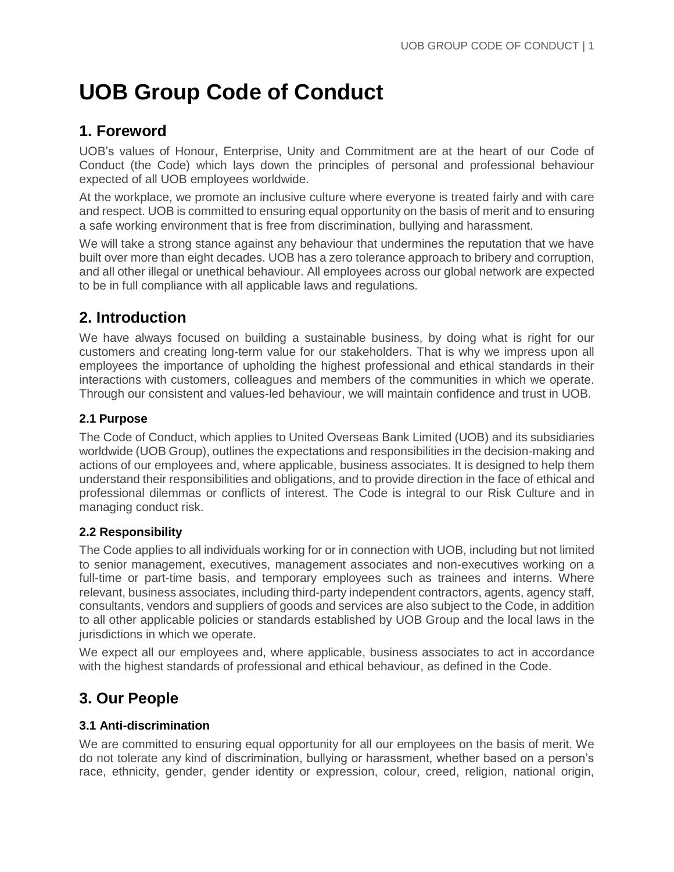# **UOB Group Code of Conduct**

# **1. Foreword**

UOB's values of Honour, Enterprise, Unity and Commitment are at the heart of our Code of Conduct (the Code) which lays down the principles of personal and professional behaviour expected of all UOB employees worldwide.

At the workplace, we promote an inclusive culture where everyone is treated fairly and with care and respect. UOB is committed to ensuring equal opportunity on the basis of merit and to ensuring a safe working environment that is free from discrimination, bullying and harassment.

We will take a strong stance against any behaviour that undermines the reputation that we have built over more than eight decades. UOB has a zero tolerance approach to bribery and corruption, and all other illegal or unethical behaviour. All employees across our global network are expected to be in full compliance with all applicable laws and regulations.

# **2. Introduction**

We have always focused on building a sustainable business, by doing what is right for our customers and creating long-term value for our stakeholders. That is why we impress upon all employees the importance of upholding the highest professional and ethical standards in their interactions with customers, colleagues and members of the communities in which we operate. Through our consistent and values-led behaviour, we will maintain confidence and trust in UOB.

# **2.1 Purpose**

The Code of Conduct, which applies to United Overseas Bank Limited (UOB) and its subsidiaries worldwide (UOB Group), outlines the expectations and responsibilities in the decision-making and actions of our employees and, where applicable, business associates. It is designed to help them understand their responsibilities and obligations, and to provide direction in the face of ethical and professional dilemmas or conflicts of interest. The Code is integral to our Risk Culture and in managing conduct risk.

### **2.2 Responsibility**

The Code applies to all individuals working for or in connection with UOB, including but not limited to senior management, executives, management associates and non-executives working on a full-time or part-time basis, and temporary employees such as trainees and interns. Where relevant, business associates, including third-party independent contractors, agents, agency staff, consultants, vendors and suppliers of goods and services are also subject to the Code, in addition to all other applicable policies or standards established by UOB Group and the local laws in the jurisdictions in which we operate.

We expect all our employees and, where applicable, business associates to act in accordance with the highest standards of professional and ethical behaviour, as defined in the Code.

# **3. Our People**

### **3.1 Anti-discrimination**

We are committed to ensuring equal opportunity for all our employees on the basis of merit. We do not tolerate any kind of discrimination, bullying or harassment, whether based on a person's race, ethnicity, gender, gender identity or expression, colour, creed, religion, national origin,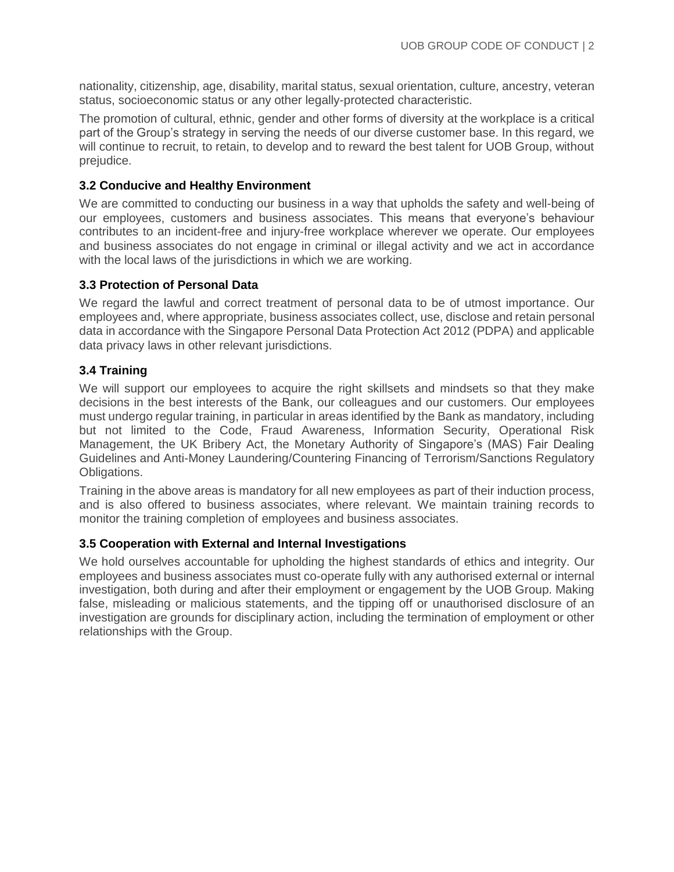nationality, citizenship, age, disability, marital status, sexual orientation, culture, ancestry, veteran status, socioeconomic status or any other legally-protected characteristic.

The promotion of cultural, ethnic, gender and other forms of diversity at the workplace is a critical part of the Group's strategy in serving the needs of our diverse customer base. In this regard, we will continue to recruit, to retain, to develop and to reward the best talent for UOB Group, without prejudice.

#### **3.2 Conducive and Healthy Environment**

We are committed to conducting our business in a way that upholds the safety and well-being of our employees, customers and business associates. This means that everyone's behaviour contributes to an incident-free and injury-free workplace wherever we operate. Our employees and business associates do not engage in criminal or illegal activity and we act in accordance with the local laws of the jurisdictions in which we are working.

#### **3.3 Protection of Personal Data**

We regard the lawful and correct treatment of personal data to be of utmost importance. Our employees and, where appropriate, business associates collect, use, disclose and retain personal data in accordance with the Singapore Personal Data Protection Act 2012 (PDPA) and applicable data privacy laws in other relevant jurisdictions.

#### **3.4 Training**

We will support our employees to acquire the right skillsets and mindsets so that they make decisions in the best interests of the Bank, our colleagues and our customers. Our employees must undergo regular training, in particular in areas identified by the Bank as mandatory, including but not limited to the Code, Fraud Awareness, Information Security, Operational Risk Management, the UK Bribery Act, the Monetary Authority of Singapore's (MAS) Fair Dealing Guidelines and Anti-Money Laundering/Countering Financing of Terrorism/Sanctions Regulatory Obligations.

Training in the above areas is mandatory for all new employees as part of their induction process, and is also offered to business associates, where relevant. We maintain training records to monitor the training completion of employees and business associates.

#### **3.5 Cooperation with External and Internal Investigations**

We hold ourselves accountable for upholding the highest standards of ethics and integrity. Our employees and business associates must co-operate fully with any authorised external or internal investigation, both during and after their employment or engagement by the UOB Group. Making false, misleading or malicious statements, and the tipping off or unauthorised disclosure of an investigation are grounds for disciplinary action, including the termination of employment or other relationships with the Group.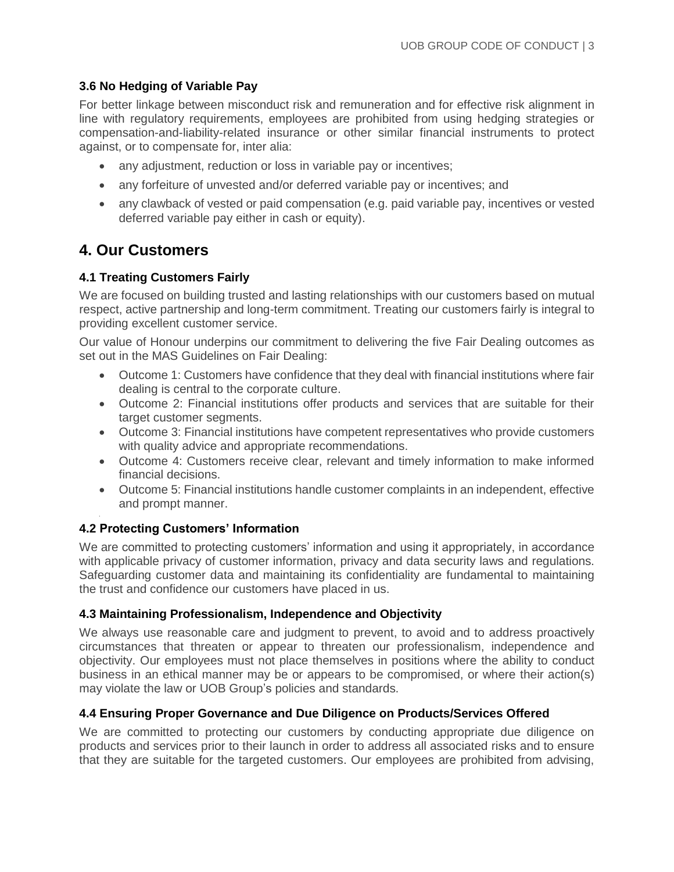### **3.6 No Hedging of Variable Pay**

For better linkage between misconduct risk and remuneration and for effective risk alignment in line with regulatory requirements, employees are prohibited from using hedging strategies or compensation-and-liability-related insurance or other similar financial instruments to protect against, or to compensate for, inter alia:

- any adjustment, reduction or loss in variable pay or incentives;
- any forfeiture of unvested and/or deferred variable pay or incentives; and
- any clawback of vested or paid compensation (e.g. paid variable pay, incentives or vested deferred variable pay either in cash or equity).

# **4. Our Customers**

# **4.1 Treating Customers Fairly**

We are focused on building trusted and lasting relationships with our customers based on mutual respect, active partnership and long-term commitment. Treating our customers fairly is integral to providing excellent customer service.

Our value of Honour underpins our commitment to delivering the five Fair Dealing outcomes as set out in the MAS Guidelines on Fair Dealing:

- Outcome 1: Customers have confidence that they deal with financial institutions where fair dealing is central to the corporate culture.
- Outcome 2: Financial institutions offer products and services that are suitable for their target customer segments.
- Outcome 3: Financial institutions have competent representatives who provide customers with quality advice and appropriate recommendations.
- Outcome 4: Customers receive clear, relevant and timely information to make informed financial decisions.
- Outcome 5: Financial institutions handle customer complaints in an independent, effective and prompt manner.

# **4.2 Protecting Customers' Information**

We are committed to protecting customers' information and using it appropriately, in accordance with applicable privacy of customer information, privacy and data security laws and regulations. Safeguarding customer data and maintaining its confidentiality are fundamental to maintaining the trust and confidence our customers have placed in us.

### **4.3 Maintaining Professionalism, Independence and Objectivity**

We always use reasonable care and judgment to prevent, to avoid and to address proactively circumstances that threaten or appear to threaten our professionalism, independence and objectivity. Our employees must not place themselves in positions where the ability to conduct business in an ethical manner may be or appears to be compromised, or where their action(s) may violate the law or UOB Group's policies and standards.

### **4.4 Ensuring Proper Governance and Due Diligence on Products/Services Offered**

We are committed to protecting our customers by conducting appropriate due diligence on products and services prior to their launch in order to address all associated risks and to ensure that they are suitable for the targeted customers. Our employees are prohibited from advising,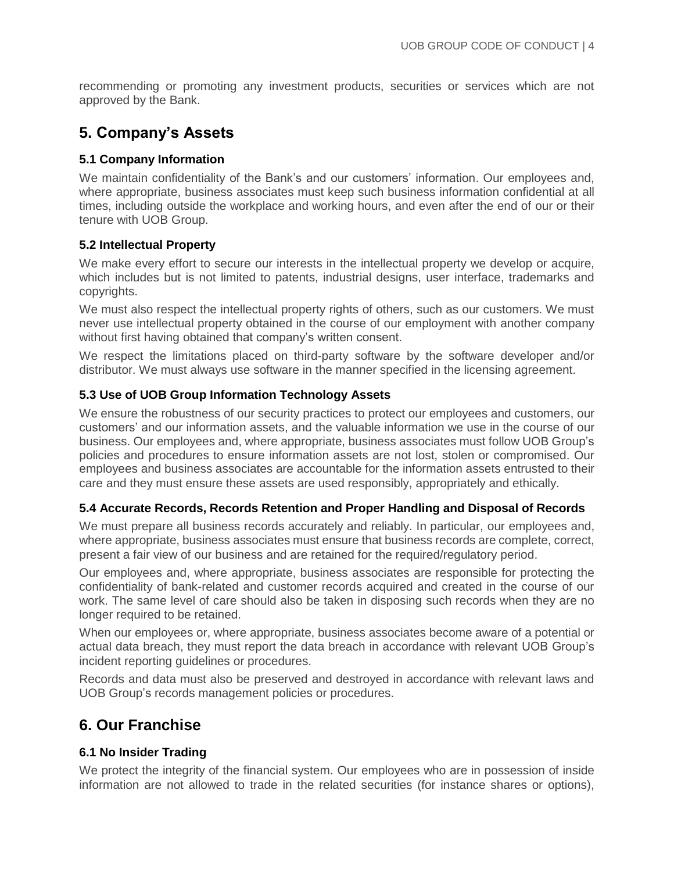recommending or promoting any investment products, securities or services which are not approved by the Bank.

# **5. Company's Assets**

### **5.1 Company Information**

We maintain confidentiality of the Bank's and our customers' information. Our employees and, where appropriate, business associates must keep such business information confidential at all times, including outside the workplace and working hours, and even after the end of our or their tenure with UOB Group.

#### **5.2 Intellectual Property**

We make every effort to secure our interests in the intellectual property we develop or acquire, which includes but is not limited to patents, industrial designs, user interface, trademarks and copyrights.

We must also respect the intellectual property rights of others, such as our customers. We must never use intellectual property obtained in the course of our employment with another company without first having obtained that company's written consent.

We respect the limitations placed on third-party software by the software developer and/or distributor. We must always use software in the manner specified in the licensing agreement.

#### **5.3 Use of UOB Group Information Technology Assets**

We ensure the robustness of our security practices to protect our employees and customers, our customers' and our information assets, and the valuable information we use in the course of our business. Our employees and, where appropriate, business associates must follow UOB Group's policies and procedures to ensure information assets are not lost, stolen or compromised. Our employees and business associates are accountable for the information assets entrusted to their care and they must ensure these assets are used responsibly, appropriately and ethically.

#### **5.4 Accurate Records, Records Retention and Proper Handling and Disposal of Records**

We must prepare all business records accurately and reliably. In particular, our employees and, where appropriate, business associates must ensure that business records are complete, correct, present a fair view of our business and are retained for the required/regulatory period.

Our employees and, where appropriate, business associates are responsible for protecting the confidentiality of bank-related and customer records acquired and created in the course of our work. The same level of care should also be taken in disposing such records when they are no longer required to be retained.

When our employees or, where appropriate, business associates become aware of a potential or actual data breach, they must report the data breach in accordance with relevant UOB Group's incident reporting guidelines or procedures.

Records and data must also be preserved and destroyed in accordance with relevant laws and UOB Group's records management policies or procedures.

# **6. Our Franchise**

### **6.1 No Insider Trading**

We protect the integrity of the financial system. Our employees who are in possession of inside information are not allowed to trade in the related securities (for instance shares or options),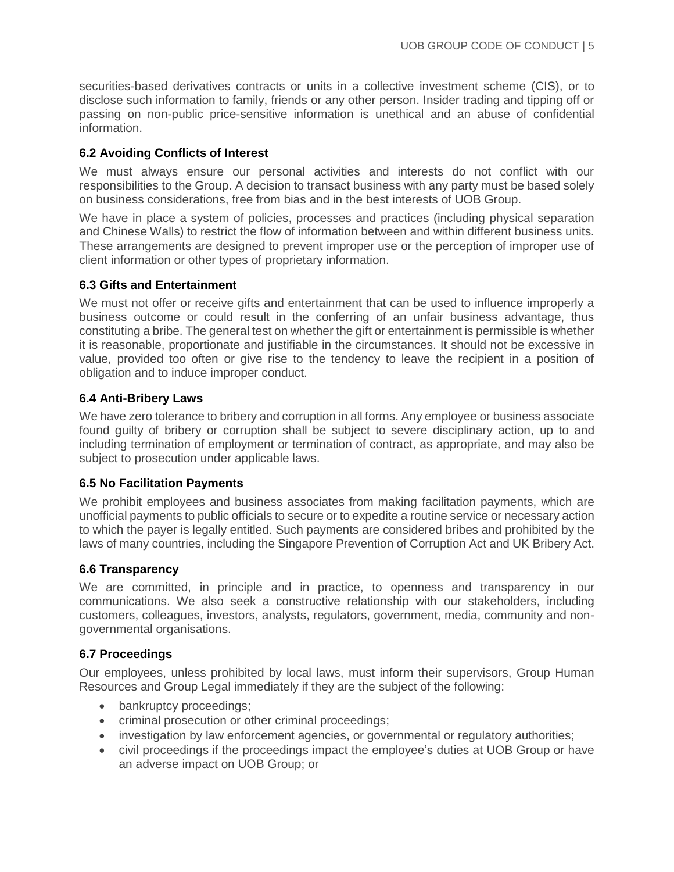securities-based derivatives contracts or units in a collective investment scheme (CIS), or to disclose such information to family, friends or any other person. Insider trading and tipping off or passing on non-public price-sensitive information is unethical and an abuse of confidential information.

#### **6.2 Avoiding Conflicts of Interest**

We must always ensure our personal activities and interests do not conflict with our responsibilities to the Group. A decision to transact business with any party must be based solely on business considerations, free from bias and in the best interests of UOB Group.

We have in place a system of policies, processes and practices (including physical separation and Chinese Walls) to restrict the flow of information between and within different business units. These arrangements are designed to prevent improper use or the perception of improper use of client information or other types of proprietary information.

#### **6.3 Gifts and Entertainment**

We must not offer or receive gifts and entertainment that can be used to influence improperly a business outcome or could result in the conferring of an unfair business advantage, thus constituting a bribe. The general test on whether the gift or entertainment is permissible is whether it is reasonable, proportionate and justifiable in the circumstances. It should not be excessive in value, provided too often or give rise to the tendency to leave the recipient in a position of obligation and to induce improper conduct.

#### **6.4 Anti-Bribery Laws**

We have zero tolerance to bribery and corruption in all forms. Any employee or business associate found guilty of bribery or corruption shall be subject to severe disciplinary action, up to and including termination of employment or termination of contract, as appropriate, and may also be subject to prosecution under applicable laws.

#### **6.5 No Facilitation Payments**

We prohibit employees and business associates from making facilitation payments, which are unofficial payments to public officials to secure or to expedite a routine service or necessary action to which the payer is legally entitled. Such payments are considered bribes and prohibited by the laws of many countries, including the Singapore Prevention of Corruption Act and UK Bribery Act.

#### **6.6 Transparency**

We are committed, in principle and in practice, to openness and transparency in our communications. We also seek a constructive relationship with our stakeholders, including customers, colleagues, investors, analysts, regulators, government, media, community and nongovernmental organisations.

#### **6.7 Proceedings**

Our employees, unless prohibited by local laws, must inform their supervisors, Group Human Resources and Group Legal immediately if they are the subject of the following:

- bankruptcy proceedings;
- criminal prosecution or other criminal proceedings;
- investigation by law enforcement agencies, or governmental or regulatory authorities;
- civil proceedings if the proceedings impact the employee's duties at UOB Group or have an adverse impact on UOB Group; or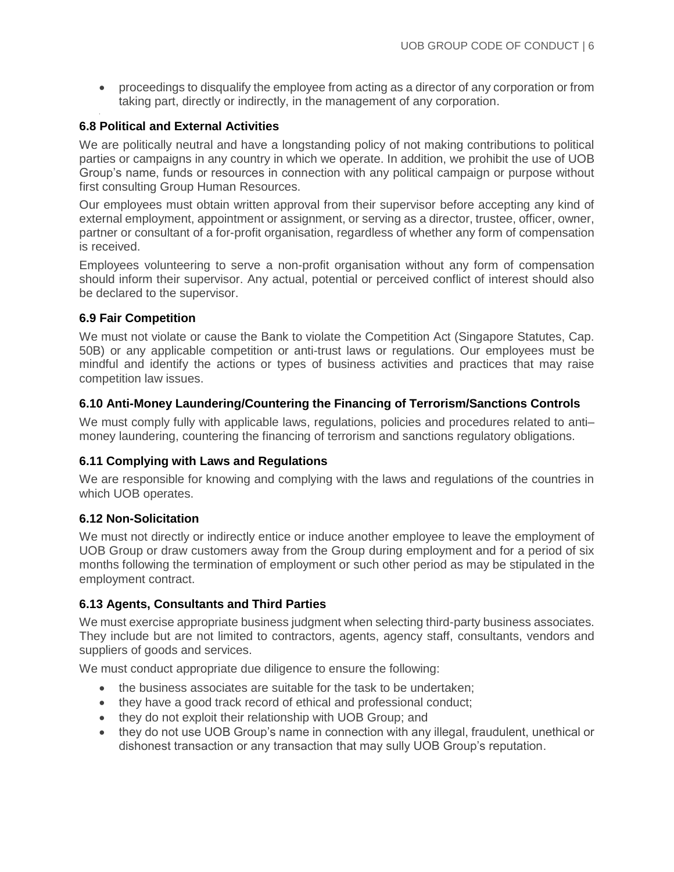proceedings to disqualify the employee from acting as a director of any corporation or from taking part, directly or indirectly, in the management of any corporation.

#### **6.8 Political and External Activities**

We are politically neutral and have a longstanding policy of not making contributions to political parties or campaigns in any country in which we operate. In addition, we prohibit the use of UOB Group's name, funds or resources in connection with any political campaign or purpose without first consulting Group Human Resources.

Our employees must obtain written approval from their supervisor before accepting any kind of external employment, appointment or assignment, or serving as a director, trustee, officer, owner, partner or consultant of a for-profit organisation, regardless of whether any form of compensation is received.

Employees volunteering to serve a non-profit organisation without any form of compensation should inform their supervisor. Any actual, potential or perceived conflict of interest should also be declared to the supervisor.

#### **6.9 Fair Competition**

We must not violate or cause the Bank to violate the Competition Act (Singapore Statutes, Cap. 50B) or any applicable competition or anti-trust laws or regulations. Our employees must be mindful and identify the actions or types of business activities and practices that may raise competition law issues.

#### **6.10 Anti-Money Laundering/Countering the Financing of Terrorism/Sanctions Controls**

We must comply fully with applicable laws, regulations, policies and procedures related to anti– money laundering, countering the financing of terrorism and sanctions regulatory obligations.

#### **6.11 Complying with Laws and Regulations**

We are responsible for knowing and complying with the laws and regulations of the countries in which UOB operates.

#### **6.12 Non-Solicitation**

We must not directly or indirectly entice or induce another employee to leave the employment of UOB Group or draw customers away from the Group during employment and for a period of six months following the termination of employment or such other period as may be stipulated in the employment contract.

#### **6.13 Agents, Consultants and Third Parties**

We must exercise appropriate business judgment when selecting third-party business associates. They include but are not limited to contractors, agents, agency staff, consultants, vendors and suppliers of goods and services.

We must conduct appropriate due diligence to ensure the following:

- the business associates are suitable for the task to be undertaken;
- they have a good track record of ethical and professional conduct;
- they do not exploit their relationship with UOB Group; and
- they do not use UOB Group's name in connection with any illegal, fraudulent, unethical or dishonest transaction or any transaction that may sully UOB Group's reputation.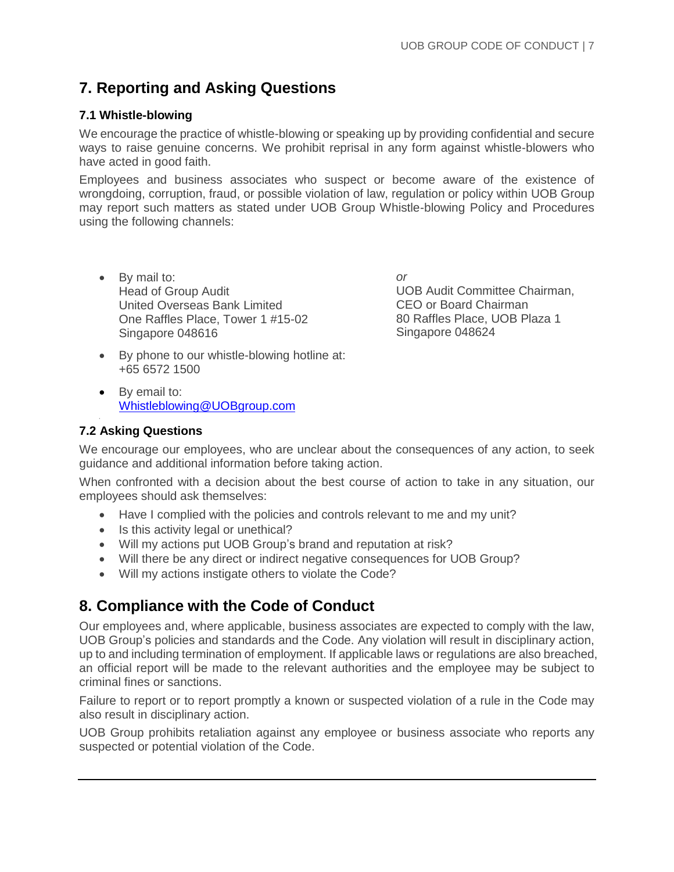# **7. Reporting and Asking Questions**

### **7.1 Whistle-blowing**

We encourage the practice of whistle-blowing or speaking up by providing confidential and secure ways to raise genuine concerns. We prohibit reprisal in any form against whistle-blowers who have acted in good faith.

Employees and business associates who suspect or become aware of the existence of wrongdoing, corruption, fraud, or possible violation of law, regulation or policy within UOB Group may report such matters as stated under UOB Group Whistle-blowing Policy and Procedures using the following channels:

• By mail to: Head of Group Audit United Overseas Bank Limited One Raffles Place, Tower 1 #15-02 Singapore 048616

*or* UOB Audit Committee Chairman, CEO or Board Chairman 80 Raffles Place, UOB Plaza 1 Singapore 048624

- By phone to our whistle-blowing hotline at: +65 6572 1500
- By email to: [Whistleblowing@UOBgroup.com](mailto:Whistleblowing@UOBgroup.com)

# **7.2 Asking Questions**

We encourage our employees, who are unclear about the consequences of any action, to seek guidance and additional information before taking action.

When confronted with a decision about the best course of action to take in any situation, our employees should ask themselves:

- Have I complied with the policies and controls relevant to me and my unit?
- Is this activity legal or unethical?
- Will my actions put UOB Group's brand and reputation at risk?
- Will there be any direct or indirect negative consequences for UOB Group?
- Will my actions instigate others to violate the Code?

# **8. Compliance with the Code of Conduct**

Our employees and, where applicable, business associates are expected to comply with the law, UOB Group's policies and standards and the Code. Any violation will result in disciplinary action, up to and including termination of employment. If applicable laws or regulations are also breached, an official report will be made to the relevant authorities and the employee may be subject to criminal fines or sanctions.

Failure to report or to report promptly a known or suspected violation of a rule in the Code may also result in disciplinary action.

UOB Group prohibits retaliation against any employee or business associate who reports any suspected or potential violation of the Code.